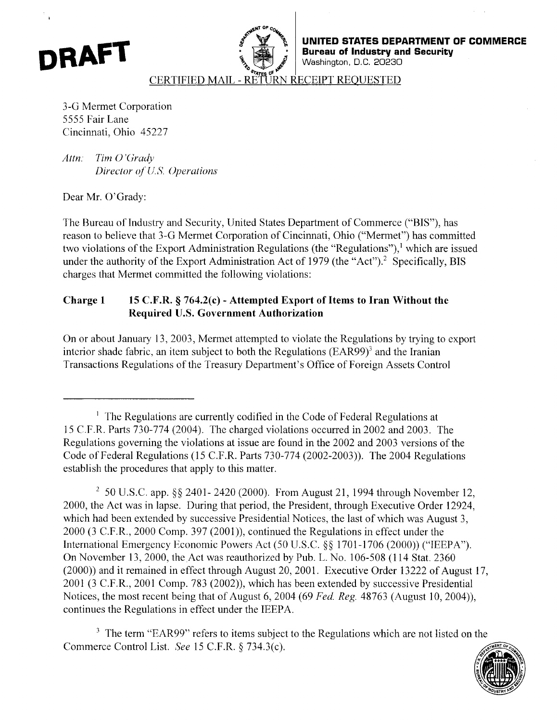<span id="page-0-0"></span>



**UNITED STATES DEPARTMENT OF COMMERCE Bureau of Industry and Security**  Washington, D.C. *20230* 

CERTIFIED MAIL - ECEIPT REOUESTED

3-G Mermet Corporation 5555 Fair Lane Cincinnati, Ohio 45227

*Attn: Tim 0 'Grudy Director cf I/.* **S.** *Operations* 

Dear Mr. O'Grady:

The Bureau of Industry and Security, United States Department of Commerce ("BIS"), has reason to believe that 3-G Mermet Corporation of Cincinnati, Ohio ("Mermet") has committed two violations of the Export Administration Regulations (the "Regulations"),<sup>1</sup> which are issued under the authority of the Export Administration Act of 1979 (the "Act").<sup>2</sup> Specifically, BIS charges that Mermet committed the following violations:

# **Charge 1 15 C.F.R. 9 764.2(c)** - **Attempted Export of Items to Iran Without the Required U.S. Government Authorization**

On or about January 13, 2003, Mermet attempted to violate the Regulations by trying to export interior shade fabric, an item subject to both the Regulations (EAR99) $^3$  and the Iranian Transactions Regulations of the Treasury Department's Office of Foreign Assets Control

<sup>3</sup> The term "EAR99" refers to items subject to the Regulations which are not listed on the Commerce Control List. *See* 15 C.F.R. 4 734.3(c).



<sup>&#</sup>x27; The Regulations are currently codified in the Code of Federal Regulations at 15 C.I.R. Parts 730-774 (2004). The charged violations occurred in 2002 and 2003. The Regulations governing the violations at issue are found in the 2002 and 2003 versions of the Code of Federal Regulations (1 *5* C.F.R. Parts 730-774 (2002-2003)). The 2004 Regulations establish the procedures that apply to this matter.

<sup>&</sup>lt;sup>2</sup> 50 U.S.C. app. §§ 2401- 2420 (2000). From August 21, 1994 through November 12, 2000, the Act was in lapse. During that period, the President, through Executive Order 12924, which had been extended by successive Presidential Notices, the last of which was August 3, 2000 (3 C.F.R., 2000 Comp. 397 (2001)), continued the Regulations in effect under the International Emergency Economic Powers Act (50 U.S.C. *\$5* 1701 -1706 (2000)) ("IEEPA"). On November 13, 2000, the Act was reauthorized by Pub. L. No. 106-508 (1 14 Stat. 2360 (2000)) and it remained in effect through August 20,2001. Executive Order 13222 of August 17, 2001 (3 C.F.R., 2001 Comp. 783 (2002)), which has been extended by successive Presidential Notices, the most recent being that of August 6,2004 (69 *Fed. Reg.* 48763 (August 10,2004)), continues the Regulations in effect under the IEEPA.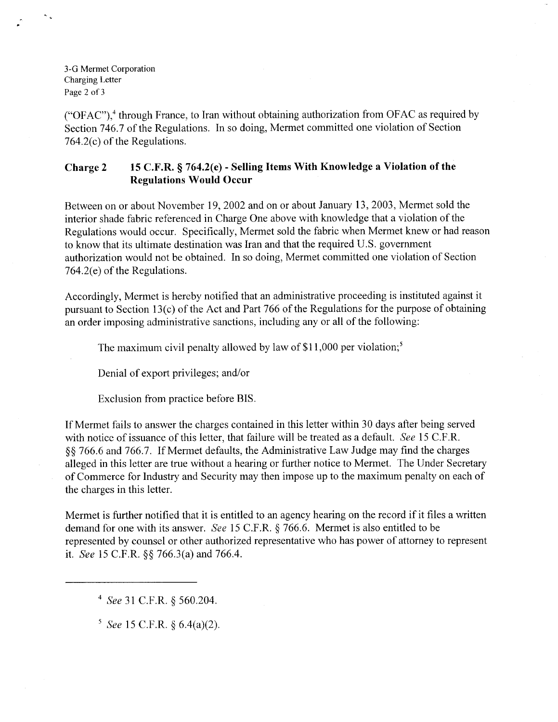3-G Mermet Corporation Charging **Letter**  [Page 2](#page-0-0) of 3

("OFAC"),<sup>4</sup> through France, to Iran without obtaining authorization from OFAC as required by Section 746.7 of the Regulations. In so doing, Mermet committed one violation of Section 764.2(c) of the Regulations.

### **Charge 2 15 C.F.R.** *5* **764.2(e)** - **Selling Items With Knowledge a Violation of the Regulations Would Occur**

Between on or about November 19,2002 and on or about January 13,2003, Mermet sold the interior shade fabric referenced in Charge One above with knowledge that a violation of the Regulations would occur. Specifically, Mermet sold the fabric when Mermet knew or had reason to know that its ultimate destination was Iran and that the required U.S. government authorization would not be obtained. In so doing, Mermet committed one violation of Section 764.2(e) of the Regulations.

Accordingly, Mermet is hereby notified that an administrative proceeding is instituted against it pursuant to Section 13(c) of the Act and Part 766 of the Regulations for the purpose of obtaining an order imposing administrative sanctions, including any or all of the following:

The maximum civil penalty allowed by law of  $$11,000$  per violation;<sup>5</sup>

Denial of export privileges; and/or

Exclusion from practice before BIS.

If Mermet fails to answer the charges contained in this letter within 30 days after being served with notice of issuance of this letter, that failure will be treated as a default. *See* 15 C.F.R. *\$5* 766.6 and 766.7. If Mermet defaults, the Administrative Law Judge may find the charges alleged in this letter are true without a hearing or further notice to Mermet. The Under Secretary of Commerce for Industry and Security may then impose up to the maximum penalty on each of the charges in this letter.

Mermet is further notified that it is entitled to an agency hearing on the record if it files a written demand for one with its answer. *See* 15 C.F.R. *5* 766.6. Mermet is also entitled to be represented by counsel or other authorized representative who has power of attorney to represent it. *See* 15 C.F.R. \$5 766.3(a) and 766.4.

See 31 C.F.R. \$ 560.204.

*See* 15 C.F.R. *5* 6.4(a)(2).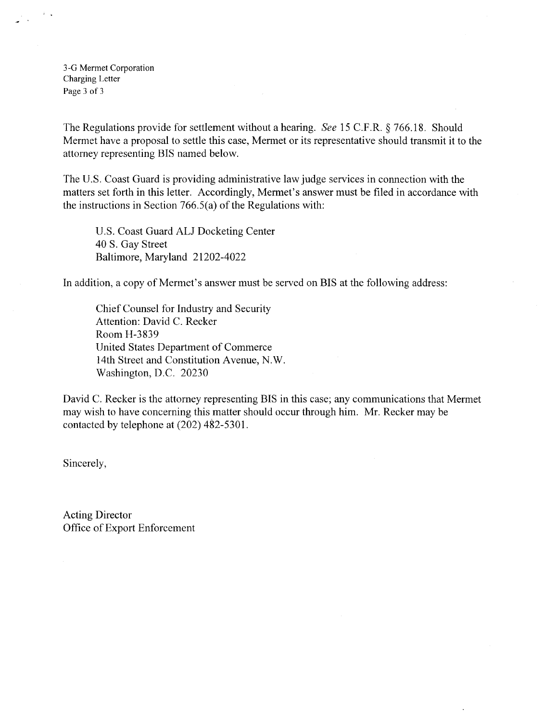3-G Mermet Corporation Charging Letter Page *3* of *3* 

The Regulations provide for settlement without a hearing. *See* 15 C.F.R. *5* 766.18. Should Mermet have a proposal to settle this case, Mermet or its representative should transmit it to the attorney representing BIS named below.

The U.S. Coast Guard is providing administrative law judge services in connection with the matters set forth in this letter. Accordingly, Mermet's answer must be filed in accordance with the instructions in Section 766.5(a) of the Regulations with:

U.S. Coast Guard ALJ Docketing Center 40 **S.** Gay Street Baltimore, Maryland 21202-4022

In addition, a copy of Mermet's answer must be served on BIS at the following address:

Chief Counsel for Industry and Security Attention: David C. Recker Room H-3839 IJnited States Department of Commerce 14th Street and Constitution Avenue, N.W. Washington, D.C. 20230

David C. Recker is the attorney representing BIS in this case; any communications that Mermet may wish to have concerning this matter should occur through him. Mr. Recker may be contacted by telephone at (202) 482-5301.

Sincerely,

Acting Director Office of Export Enforcement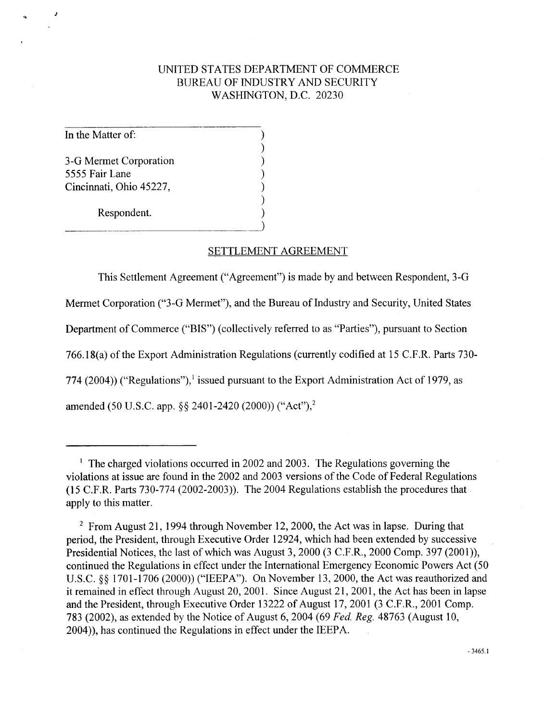# UNITED STATES DEPARTMENT OF COMMERCE BUREAU OF INDUSTRY AND SECURITY WASHINGTON, D.C. 20230

In the Matter of:

3-G Mermet Corporation *5555* Fair Lane Cincinnati, Ohio 45227,

Respondent.

#### SETTLEMENT AGREEMENT

This Settlement Agreement ("Agreement") is made by and between Respondent, 3-G

Mermet Corporation ("3-G Mermet"), and the Bureau of Industry and Security, United States

Department of Commerce ("BIS") (collectively referred to as "Parties"), pursuant to Section

766.18(a) of the Export Administration Regulations (currently codified at 15 C.F.R. Parts 730-

774 (2004)) ("Regulations"),<sup>1</sup> issued pursuant to the Export Administration Act of 1979, as

amended (50 U.S.C. app. **\$9** 2401-2420 (2000)) ("Act"),2

<sup>&</sup>lt;sup>1</sup> The charged violations occurred in 2002 and 2003. The Regulations governing the violations at issue are found in the 2002 and 2003 versions of the Code of Federal Regulations (1 *5* C.F.R. Parts 730-774 (2002-2003)). The 2004 Regulations establish the procedures that apply to this matter.

<sup>&</sup>lt;sup>2</sup> From August 21, 1994 through November 12, 2000, the Act was in lapse. During that period, the President, through Executive Order 12924, which had been extended by successive Presidential Notices, the last of which was August 3, 2000 (3 C.F.R., 2000 Comp. 397 (2001)), continued the Regulations in effect under the International Emergency Economic Powers Act (50 U.S.C. **\$9** 1701-1706 (2000)) ("IEEPA"). On November 13,2000, the Act was reauthorized and it remained in effect through August 20, 2001. Since August 21, 2001, the Act has been in lapse and the President, through Executive Order 13222 of August 17,2001 (3 C.F.R., 2001 Comp. 783 (2002), as extended by the Notice of August 6,2004 (69 *Fed. Reg.* 48763 (August 10, 2004)), has continued the Regulations in effect under the IEEPA.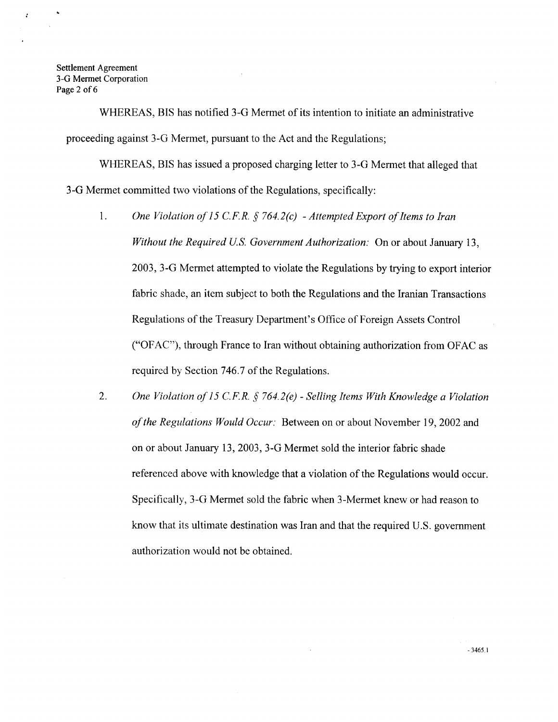.

÷.

WHEREAS, BIS has notified 3-G Mermet of its intention to initiate an administrative proceeding against 3-G Mermet, pursuant to the Act and the Regulations;

WHEREAS, BIS has issued a proposed charging letter to 3-G Mermet that alleged that **3-G** Mermet committed two violations of the Regulations, specifically:

- 1. *One Violation of I5 C.F. R.* j *764.2(c) Attempted Export of Items to Iran Without the Required US. Government Authorization:* On or about January 13, 2003, 3-G Mermet attempted to violate the Regulations by trying to export interior fabric shade, an item subject to both the Regulations and the Iranian Transactions Regulations of the Treasury Department's Office of Foreign Assets Control ("OFAC"), through France to Iran without obtaining authorization from OFAC as required by Section 746.7 of the Regulations.
- 2. *One Violation of 15 C.F.R.* j *764.2(e) Selling Items With Knowledge a Violation of the Regulations Would Occur;* Between on or about November 19,2002 and on or about January 13, 2003, 3-G Mermet sold the interior fabric shade referenced above with knowledge that a violation of the Regulations would occur. Specifically, 3-G Mermet sold the fabric when 3-Mermet knew or had reason to know that its ultimate destination was Iran and that the required U.S. government authorization would not be obtained.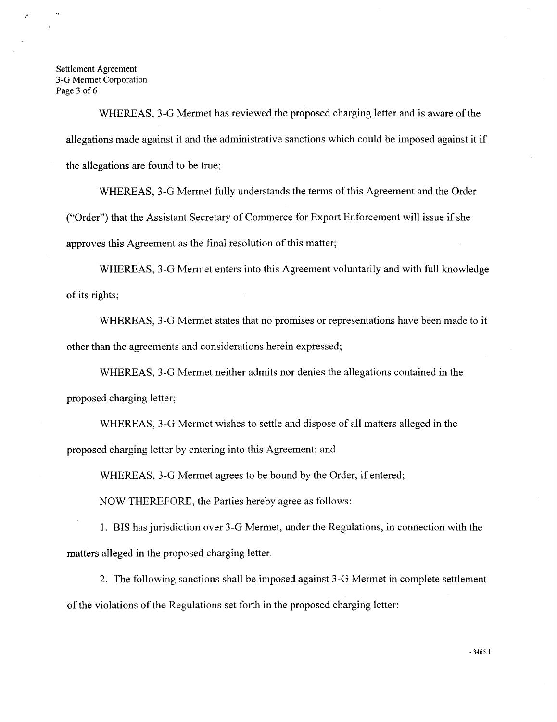Settlement Agreement *3-G* Mermet Corporation Page 3 of 6

> WHEREAS, 3-G Mermet has reviewed the proposed charging letter and is aware of the allegations made against it and the administrative sanctions which could be imposed against it if the allegations are found to be true;

WHEREAS, 3-G Mermet hlly understands the terms of this Agreement and the Order ("Order") that the Assistant Secretary of Commerce for Export Enforcement will issue if she approves this Agreement as the final resolution of this matter;

WHEREAS, 3-G Mermet enters into this Agreement voluntarily and with full knowledge **of** its rights;

WHEREAS, 3-G Mermet states that no promises or representations have been made to it other than the agreements and considerations herein expressed;

WHEREAS, 3-G Mermet neither admits nor denies the allegations contained in the proposed charging letter;

WHEREAS, 3-G Mermet wishes to settle and dispose of all matters alleged in the proposed charging letter by entering into this Agreement; and

WHEREAS, 3-G Mermet agrees to be bound by the Order, if entered;

NOW THEREFORE, the Parties hereby agree as follows:

1. BIS has jurisdiction over 3-G Mermet, under the Regulations, in connection with the matters alleged in the proposed charging letter.

2. The following sanctions shall be imposed against 3-G Mermet in complete settlement of the violations of the Regulations set forth in the proposed charging letter:

- **3465.1**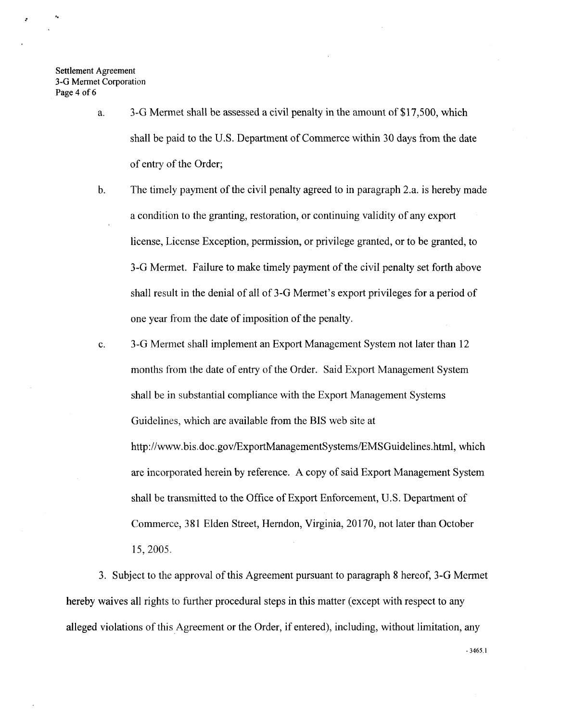Settlement Agreement *3-G* Mermet Corporation **Page 4 of** *6* 

- a. 3-G Mermet shall be assessed a civil penalty in the amount of \$17,500, which shall be paid to the U.S. Department of Commerce within 30 days from the date of entry of the Order;
- b. The timely payment of the civil penalty agreed to in paragraph 2.a. is hereby made a condition to the granting, restoration, or continuing validity of any export license, License Exception, permission, or privilege granted, or to be granted, to 3-G Mermet. Failure to make timely payment of the civil penalty set forth above shall result in the denial of all of 3-G Mermet's export privileges for a period of one year from the date of imposition of the penalty.
- c. 3-G Mermet shall implement an Export Management System not later than 12 months from the date of entry of the Order. Said Export Management System shall be in substantial compliance with the Export Management Systems Guidelines, which are available from the BIS web site at **[http://www.bis.doc.gov/ExportManagementSystems/EMSGuidelines.htm](http://www.bis.doc.gov/ExportManagementSystems/EMSGuidelines.html)l,** which are incorporated herein by reference. **A** copy of said Export Management System shall be transmitted to the Office of Export Enforcement, U.S. Department of Commerce, 3 **8** 1 Elden Street, Herndon, Virginia, 20 170, not later than October 15, 2005.

3. Subject to the approval of this Agreement pursuant to paragraph **8** hereof, 3-G Mermet hereby waives all rights to further procedural steps in this matter (except with respect to any alleged violations of this Agreement or the Order, if entered), including, without limitation, any

- **3465.1**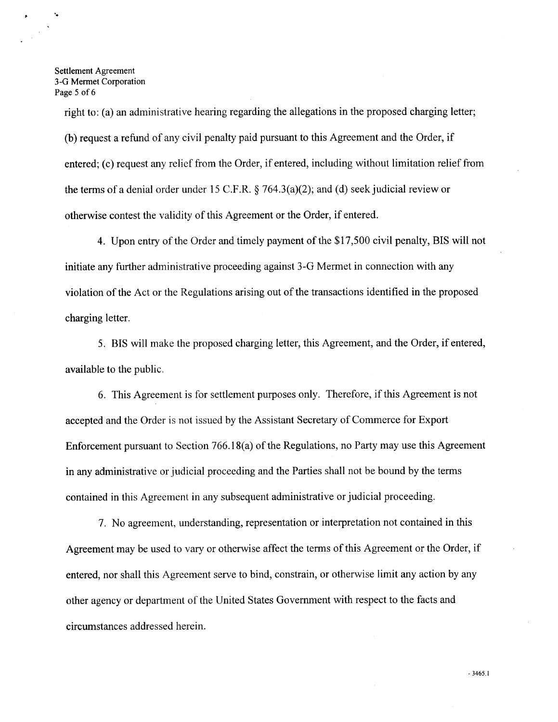Settlement Agreement *3-G* Mermet Corporation Page *5* of **6** 

right to: (a) an administrative hearing regarding the allegations in the proposed charging letter; (b) request a refund of any civil penalty paid pursuant to this Agreement and the Order, if entered; (c) request any relief from the Order, if entered, including without limitation relief from the terms of a denial order under 15 C.F.R.  $\S$  764.3(a)(2); and (d) seek judicial review or otherwise contest the validity of this Agreement or the Order, if entered.

**4.** Upon entry of the Order and timely payment of the \$17,500 civil penalty, BIS will not initiate any further administrative proceeding against 3-G Mermet in connection with any violation of the Act or the Regulations arising out of the transactions identified in the proposed charging letter.

5. BIS will make the proposed charging letter, this Agreement, and the Order, if entered, available to the public.

6. This Agreement is for settlement purposes only. Therefore, if this Agreement is not accepted and the Order is not issued by the Assistant Secretary of Commerce for Export Enforcement pursuant to Section 766.18(a) of the Regulations, no Party may use this Agreement in any administrative or judicial proceeding and the Parties shall not be bound by the terms contained in this Agreement in any subsequent administrative or judicial proceeding.

7. No agreement, understanding, representation or interpretation not contained in this Agreement may be used to vary or otherwise affect the terms of this Agreement or the Order, if entered, nor shall this Agreement serve to bind, constrain, or otherwise limit any action by any other agency or department of the United States Government with respect to the facts and circumstances addressed herein.

**3465.1**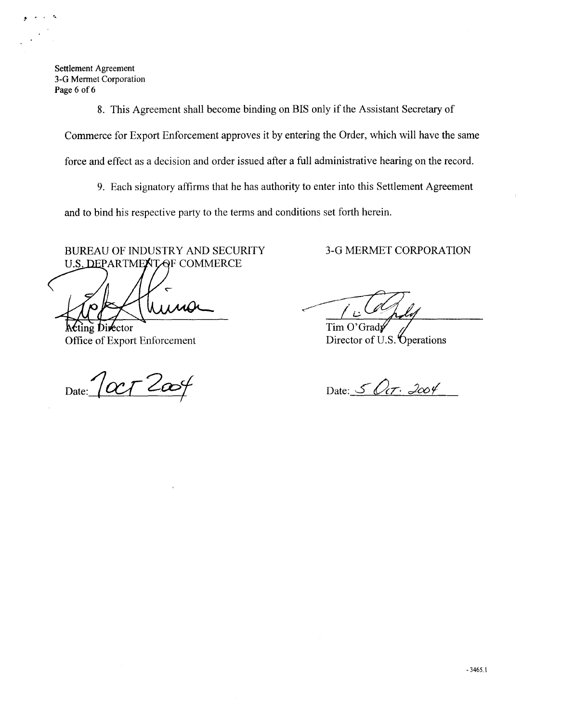**Settlement Agreement 3-G Mermet Corporation Page** *6* of *6* 

 $\hat{\mathbf{z}}$ 

**8.** This Agreement shall become binding on BIS only if the Assistant Secretary of Commerce for Export Enforcement approves it by entering the Order, which will have the same Source the Ball Become binding on BIS only if the Assistant Secretary of<br>
8. This Agreenton shall become binding on BIS only if the Assistant Secretary of<br>
Commerce for Export Enforcement approves it by entering Be Order,

force and effect as a decision and order issued after a full administrative hearing on the record.

**9.** Each signatory affirms that he has authority to enter into this Settlement Agreement

and to bind his respective party to the terms and conditions set forth herein.

BUREAU OF INDUSTRY AND SECURITY 3-G MERMET CORPORATION U.S. DEPARTMENT OF COMMERCE

Office of Export Enforcement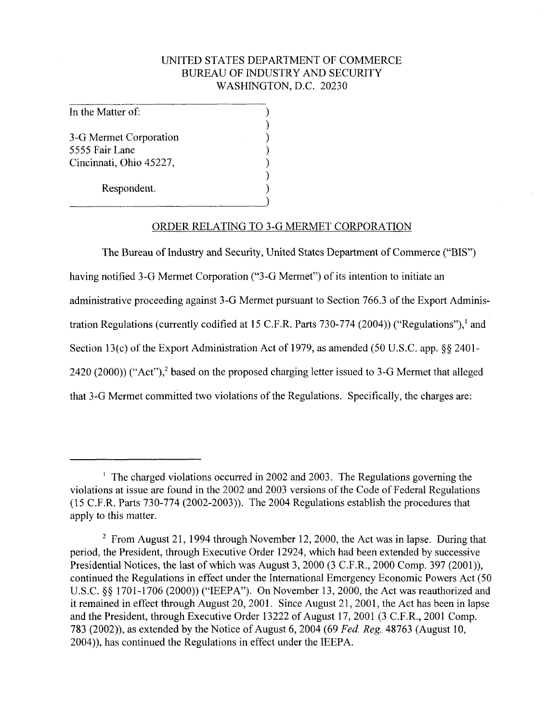## UNITED STATES DEPARTMENT OF COMMERCE BUREAU OF INDUSTRY AND SECURITY WASHINGTON, D.C. 20230

(

1

 $\mathcal{F}_{\mathcal{A}}$ 

In the Matter of: 2008

3-G Mermet Corporation (1995)<br>5555 Fair Lane (1996) 5555 Fair Lane (1995)<br>Cincinnati, Ohio 45227. Cincinnati, Ohio 45227,

Respondent.

### ORDER RELATING TO 3-G MERMET CORPORATION

The Bureau of Industry and Security, United States Department of Commerce ("BIS") having notified 3-G Mermet Corporation ("3-G Mermet") of its intention to initiate an administrative proceeding against 3-G Mermet pursuant to Section 766.3 of the Export Administration Regulations (currently codified at 15 C.F.R. Parts 730-774 (2004)) ("Regulations"), and Section 13(c) of the Export Administration Act of 1979, as amended (50 U.S.C. app.  $\S$ § 2401-2420 (2000)) ("Act"),<sup>2</sup> based on the proposed charging letter issued to 3-G Mermet that alleged that 3-G Mermet committed two violations of the Regulations. Specifically, the charges are:

<sup>&#</sup>x27; The charged violations occurred in 2002 and 2003. The Regulations governing the violations at issue are found in the 2002 and 2003 versions of the Code of Federal Regulations (1 5 C.F.R. Parts 730-774 (2002-2003)). The 2004 Regulations establish the procedures that apply to this matter.

<sup>&</sup>lt;sup>2</sup> From August 21, 1994 through November 12, 2000, the Act was in lapse. During that period, the President, through Executive Order 12924, which had been extended by successive Presidential Notices, the last of which was August 3,2000 (3 C.F.R., 2000 Comp. 397 (2001)), continued the Regulations in effect under the International Emergency Economic Powers Act (50 U.S.C. *\$5* 1701-1706 (2000)) ("IEEPA"). On November 13, 2000, the Act was reauthorized and it remained in effect through August 20,2001. Since August 21,2001, the Act has been in lapse and the President, through Executive Order 13222 of August 17,2001 (3 C.F.R., 2001 Comp. 783 (2002)), as extended by the Notice of August 6,2004 (69 *Fed. Reg.* 48763 (August 10, 2004)), has continued the Regulations in effect under the IEEPA.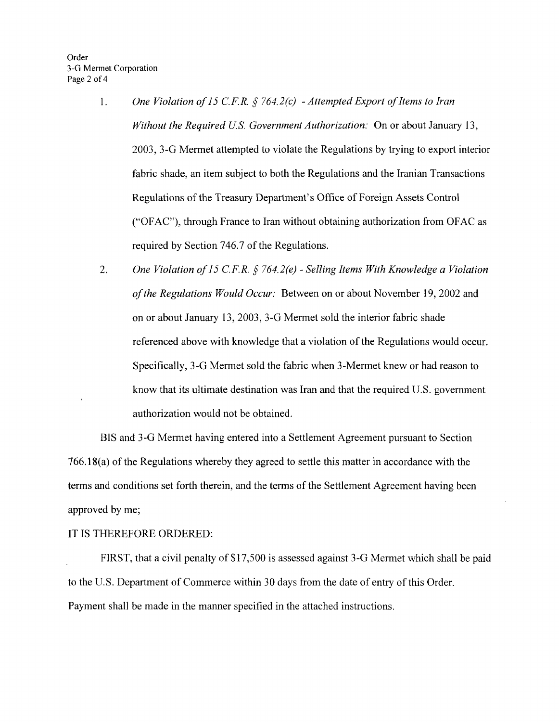- 1. *One Violation of 15 C.F.R. § 764.2(c) Attempted Export of Items to Iran Without the Required US. Government Authorization:* On or about January 13, 2003, 3-G Mermet attempted to violate the Regulations by trying to export interior fabric shade, an item subject to both the Regulations and the Iranian Transactions Regulations of the Treasury Department's Office of Foreign Assets Control ("OFAC"), through France to Iran without obtaining authorization from OFAC as required by Section 746.7 of the Regulations.
- *One Violation of 15 C.F.R.* § *764.2(e) Selling Items With Knowledge a Violation of the Regulations Would Occur:* Between on or about November 19,2002 and on or about January 13,2003,3-G Mermet sold the interior fabric shade 2. referenced above with knowledge that a violation of the Regulations would occur. Specifically, 3-G Mennet sold the fabric when 3-Mermet knew or had reason to know that its ultimate destination was Iran and that the required U.S. government authorization would not be obtained.

BIS and 3-G Mermet having entered into a Settlement Agreement pursuant to Section 766.18(a) of the Regulations whereby they agreed to settle this matter in accordance with the terms and conditions set forth therein, and the terms of the Settlement Agreement having been approved by me;

### IT IS THEREFORE ORDERED:

FIRST, that a civil penalty of \$17,500 is assessed against 3-G Mermet which shall be paid to the U.S. Department of Commerce within 30 days from the date of entry of this Order. Payment shall be made in the manner specified in the attached instructions.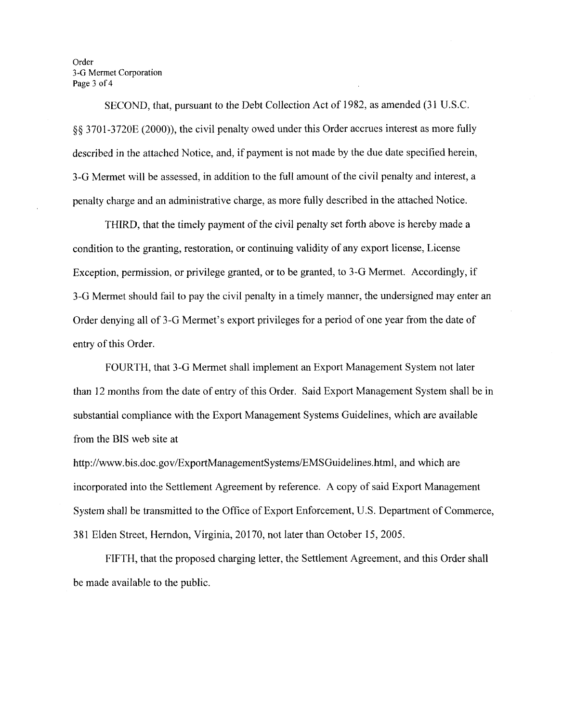Order *3-G* Mermet Corporation Page 3 of 4

SECOND, that, pursuant to the Debt Collection Act of 1982, as amended (31 U.S.C. *\$5* 3701-3720E (2000)), the civil penalty owed under this Order accrues interest as more fully described in the attached Notice, and, if payment is not made by the due date specified herein, 3-G Mermet will be assessed, in addition to the full amount of the civil penalty and interest, a penalty charge and an administrative charge, as more fully described in the attached Notice.

THIRD, that the timely payment of the civil penalty set forth above is hereby made a condition to the granting, restoration, or continuing validity of any export license, License Exception, permission, or privilege granted, or to be granted, to 3-G Mermet. Accordingly, if 3-G Mermet should fail to pay the civil penalty in a timely manner, the undersigned may enter an Order denying all of 3-G Mermet's export privileges for a period of one year from the date of entry of this Order.

FOURTH, that 3-G Mermet shall implement an Export Management System not later than 12 months from the date of entry of this Order. Said Export Management System shall be in substantial compliance with the Export Management Systems Guidelines, which are available from the BIS web site at

[http://www.](http://www) **bis.doc.gov/ExportManagementSystems/EMSGuidelines.html,** and which are incorporated into the Settlement Agreement by reference. A copy of said Export Management System shall be transmitted to the Office of Export Enforcement, U.S. Department of Commerce, 381 Elden Street, Herndon, Virginia, 20170, not later than October 15,2005.

FIFTH, that the proposed charging letter, the Settlement Agreement, and this Order shall be made available to the public.